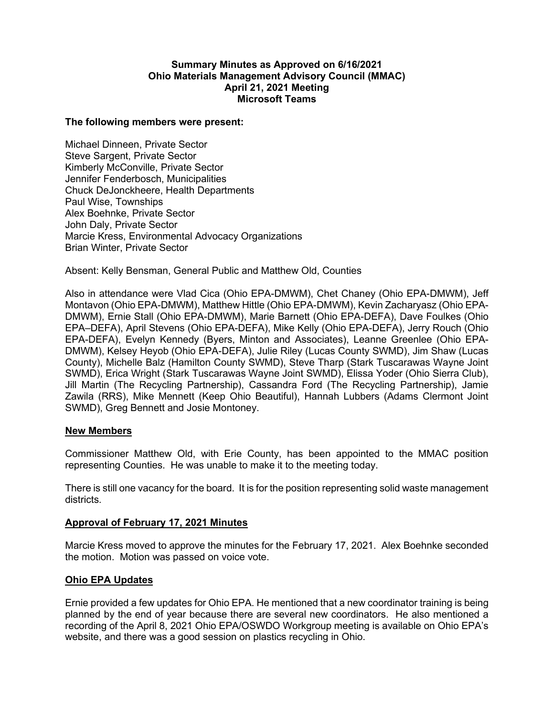### **Summary Minutes as Approved on 6/16/2021 Ohio Materials Management Advisory Council (MMAC) April 21, 2021 Meeting Microsoft Teams**

#### **The following members were present:**

Michael Dinneen, Private Sector Steve Sargent, Private Sector Kimberly McConville, Private Sector Jennifer Fenderbosch, Municipalities Chuck DeJonckheere, Health Departments Paul Wise, Townships Alex Boehnke, Private Sector John Daly, Private Sector Marcie Kress, Environmental Advocacy Organizations Brian Winter, Private Sector

Absent: Kelly Bensman, General Public and Matthew Old, Counties

Also in attendance were Vlad Cica (Ohio EPA-DMWM), Chet Chaney (Ohio EPA-DMWM), Jeff Montavon (Ohio EPA-DMWM), Matthew Hittle (Ohio EPA-DMWM), Kevin Zacharyasz (Ohio EPA-DMWM), Ernie Stall (Ohio EPA-DMWM), Marie Barnett (Ohio EPA-DEFA), Dave Foulkes (Ohio EPA–DEFA), April Stevens (Ohio EPA-DEFA), Mike Kelly (Ohio EPA-DEFA), Jerry Rouch (Ohio EPA-DEFA), Evelyn Kennedy (Byers, Minton and Associates), Leanne Greenlee (Ohio EPA-DMWM), Kelsey Heyob (Ohio EPA-DEFA), Julie Riley (Lucas County SWMD), Jim Shaw (Lucas County), Michelle Balz (Hamilton County SWMD), Steve Tharp (Stark Tuscarawas Wayne Joint SWMD), Erica Wright (Stark Tuscarawas Wayne Joint SWMD), Elissa Yoder (Ohio Sierra Club), Jill Martin (The Recycling Partnership), Cassandra Ford (The Recycling Partnership), Jamie Zawila (RRS), Mike Mennett (Keep Ohio Beautiful), Hannah Lubbers (Adams Clermont Joint SWMD), Greg Bennett and Josie Montoney.

### **New Members**

Commissioner Matthew Old, with Erie County, has been appointed to the MMAC position representing Counties. He was unable to make it to the meeting today.

There is still one vacancy for the board. It is for the position representing solid waste management districts.

## **Approval of February 17, 2021 Minutes**

Marcie Kress moved to approve the minutes for the February 17, 2021. Alex Boehnke seconded the motion. Motion was passed on voice vote.

### **Ohio EPA Updates**

Ernie provided a few updates for Ohio EPA. He mentioned that a new coordinator training is being planned by the end of year because there are several new coordinators. He also mentioned a recording of the April 8, 2021 Ohio EPA/OSWDO Workgroup meeting is available on Ohio EPA's website, and there was a good session on plastics recycling in Ohio.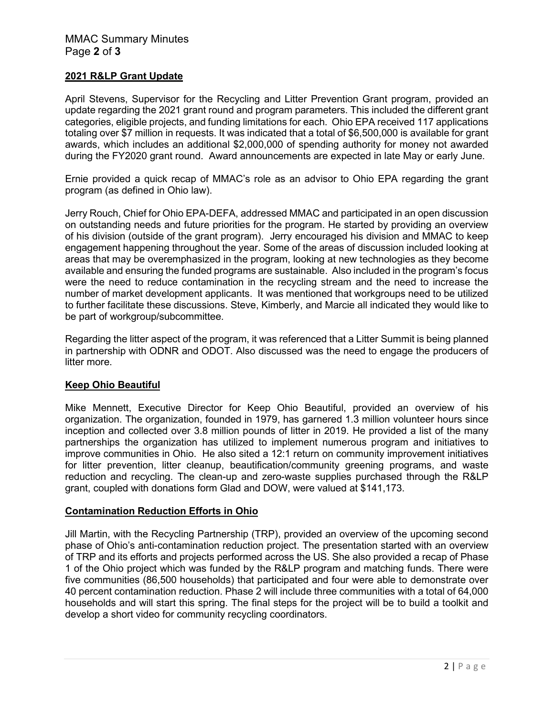# **2021 R&LP Grant Update**

April Stevens, Supervisor for the Recycling and Litter Prevention Grant program, provided an update regarding the 2021 grant round and program parameters. This included the different grant categories, eligible projects, and funding limitations for each. Ohio EPA received 117 applications totaling over \$7 million in requests. It was indicated that a total of \$6,500,000 is available for grant awards, which includes an additional \$2,000,000 of spending authority for money not awarded during the FY2020 grant round. Award announcements are expected in late May or early June.

Ernie provided a quick recap of MMAC's role as an advisor to Ohio EPA regarding the grant program (as defined in Ohio law).

Jerry Rouch, Chief for Ohio EPA-DEFA, addressed MMAC and participated in an open discussion on outstanding needs and future priorities for the program. He started by providing an overview of his division (outside of the grant program). Jerry encouraged his division and MMAC to keep engagement happening throughout the year. Some of the areas of discussion included looking at areas that may be overemphasized in the program, looking at new technologies as they become available and ensuring the funded programs are sustainable. Also included in the program's focus were the need to reduce contamination in the recycling stream and the need to increase the number of market development applicants. It was mentioned that workgroups need to be utilized to further facilitate these discussions. Steve, Kimberly, and Marcie all indicated they would like to be part of workgroup/subcommittee.

Regarding the litter aspect of the program, it was referenced that a Litter Summit is being planned in partnership with ODNR and ODOT. Also discussed was the need to engage the producers of litter more.

## **Keep Ohio Beautiful**

Mike Mennett, Executive Director for Keep Ohio Beautiful, provided an overview of his organization. The organization, founded in 1979, has garnered 1.3 million volunteer hours since inception and collected over 3.8 million pounds of litter in 2019. He provided a list of the many partnerships the organization has utilized to implement numerous program and initiatives to improve communities in Ohio. He also sited a 12:1 return on community improvement initiatives for litter prevention, litter cleanup, beautification/community greening programs, and waste reduction and recycling. The clean-up and zero-waste supplies purchased through the R&LP grant, coupled with donations form Glad and DOW, were valued at \$141,173.

## **Contamination Reduction Efforts in Ohio**

Jill Martin, with the Recycling Partnership (TRP), provided an overview of the upcoming second phase of Ohio's anti-contamination reduction project. The presentation started with an overview of TRP and its efforts and projects performed across the US. She also provided a recap of Phase 1 of the Ohio project which was funded by the R&LP program and matching funds. There were five communities (86,500 households) that participated and four were able to demonstrate over 40 percent contamination reduction. Phase 2 will include three communities with a total of 64,000 households and will start this spring. The final steps for the project will be to build a toolkit and develop a short video for community recycling coordinators.